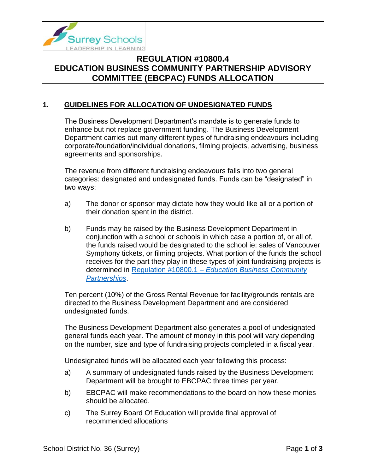

# **REGULATION #10800.4 EDUCATION BUSINESS COMMUNITY PARTNERSHIP ADVISORY COMMITTEE (EBCPAC) FUNDS ALLOCATION**

### **1. GUIDELINES FOR ALLOCATION OF UNDESIGNATED FUNDS**

The Business Development Department's mandate is to generate funds to enhance but not replace government funding. The Business Development Department carries out many different types of fundraising endeavours including corporate/foundation/individual donations, filming projects, advertising, business agreements and sponsorships.

The revenue from different fundraising endeavours falls into two general categories: designated and undesignated funds. Funds can be "designated" in two ways:

- a) The donor or sponsor may dictate how they would like all or a portion of their donation spent in the district.
- b) Funds may be raised by the Business Development Department in conjunction with a school or schools in which case a portion of, or all of, the funds raised would be designated to the school ie: sales of Vancouver Symphony tickets, or filming projects. What portion of the funds the school receives for the part they play in these types of joint fundraising projects is determined in Regulation #10800.1 – *[Education Business Community](https://www.surreyschools.ca/departments/SECT/PoliciesRegulations/section_10000/Documents/10800.1%20Regulation.pdf)  [Partnerships](https://www.surreyschools.ca/departments/SECT/PoliciesRegulations/section_10000/Documents/10800.1%20Regulation.pdf)*.

Ten percent (10%) of the Gross Rental Revenue for facility/grounds rentals are directed to the Business Development Department and are considered undesignated funds.

The Business Development Department also generates a pool of undesignated general funds each year. The amount of money in this pool will vary depending on the number, size and type of fundraising projects completed in a fiscal year.

Undesignated funds will be allocated each year following this process:

- a) A summary of undesignated funds raised by the Business Development Department will be brought to EBCPAC three times per year.
- b) EBCPAC will make recommendations to the board on how these monies should be allocated.
- c) The Surrey Board Of Education will provide final approval of recommended allocations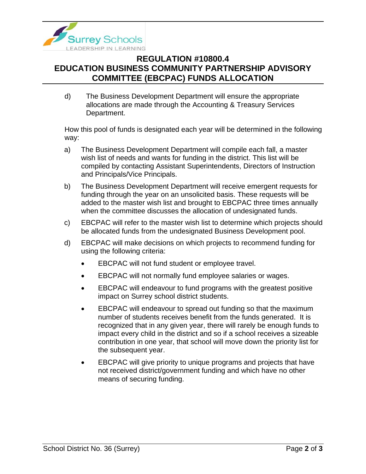

# **REGULATION #10800.4 EDUCATION BUSINESS COMMUNITY PARTNERSHIP ADVISORY COMMITTEE (EBCPAC) FUNDS ALLOCATION**

d) The Business Development Department will ensure the appropriate allocations are made through the Accounting & Treasury Services Department.

How this pool of funds is designated each year will be determined in the following way:

- a) The Business Development Department will compile each fall, a master wish list of needs and wants for funding in the district. This list will be compiled by contacting Assistant Superintendents, Directors of Instruction and Principals/Vice Principals.
- b) The Business Development Department will receive emergent requests for funding through the year on an unsolicited basis. These requests will be added to the master wish list and brought to EBCPAC three times annually when the committee discusses the allocation of undesignated funds.
- c) EBCPAC will refer to the master wish list to determine which projects should be allocated funds from the undesignated Business Development pool.
- d) EBCPAC will make decisions on which projects to recommend funding for using the following criteria:
	- EBCPAC will not fund student or employee travel.
	- EBCPAC will not normally fund employee salaries or wages.
	- EBCPAC will endeavour to fund programs with the greatest positive impact on Surrey school district students.
	- EBCPAC will endeavour to spread out funding so that the maximum number of students receives benefit from the funds generated. It is recognized that in any given year, there will rarely be enough funds to impact every child in the district and so if a school receives a sizeable contribution in one year, that school will move down the priority list for the subsequent year.
	- EBCPAC will give priority to unique programs and projects that have not received district/government funding and which have no other means of securing funding.